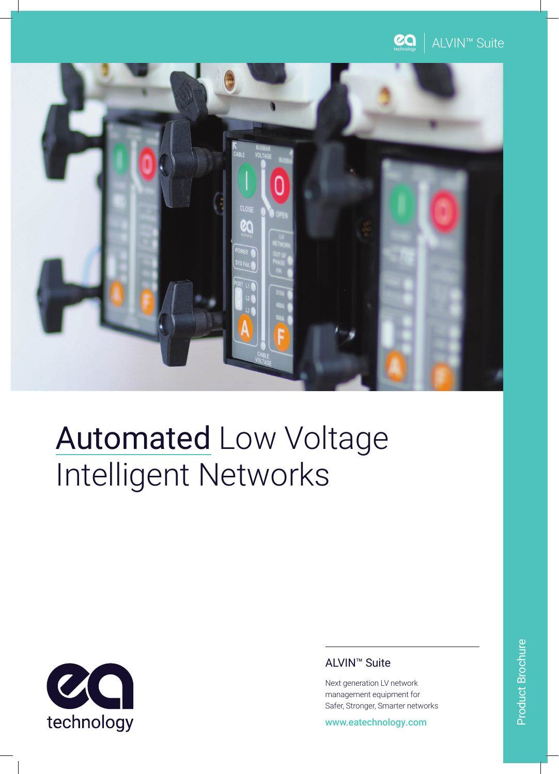



## Automated Low Voltage Intelligent Networks



## ALVIN™ Suite

Next generation LV network management equipment for Safer, Stronger, Smarter networks

www.eatechnology.com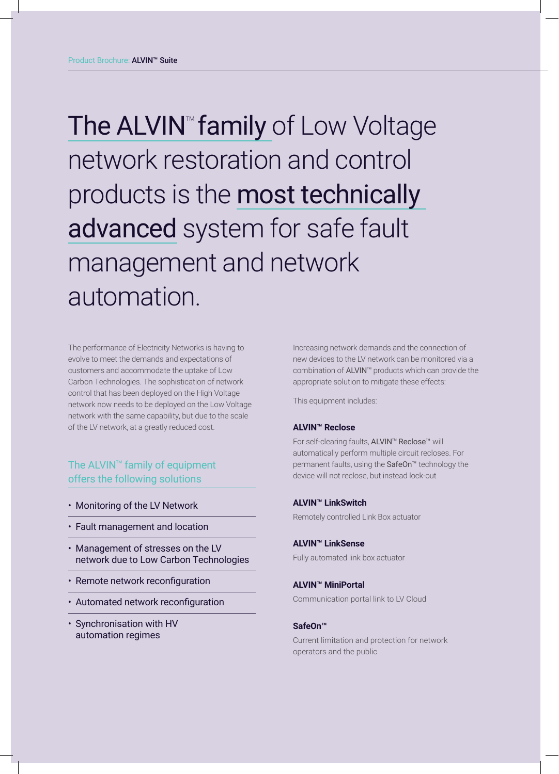The ALVIN<sup>™</sup> family of Low Voltage network restoration and control products is the most technically advanced system for safe fault management and network automation.

The performance of Electricity Networks is having to evolve to meet the demands and expectations of customers and accommodate the uptake of Low Carbon Technologies. The sophistication of network control that has been deployed on the High Voltage network now needs to be deployed on the Low Voltage network with the same capability, but due to the scale of the LV network, at a greatly reduced cost.

## The ALVIN<sup>™</sup> family of equipment offers the following solutions

- Monitoring of the LV Network
- Fault management and location
- Management of stresses on the LV network due to Low Carbon Technologies
- Remote network reconfiguration
- Automated network reconfiguration
- Synchronisation with HV automation regimes

Increasing network demands and the connection of new devices to the LV network can be monitored via a combination of ALVIN<sup>™</sup> products which can provide the appropriate solution to mitigate these effects:

This equipment includes:

#### **ALVIN™ Reclose**

For self-clearing faults, ALVIN™ Reclose™ will automatically perform multiple circuit recloses. For permanent faults, using the SafeOn<sup>™</sup> technology the device will not reclose, but instead lock-out

#### **ALVIN™ LinkSwitch**

Remotely controlled Link Box actuator

#### **ALVIN™ LinkSense**

Fully automated link box actuator

#### **ALVIN™ MiniPortal**

Communication portal link to LV Cloud

#### **SafeOn™**

Current limitation and protection for network operators and the public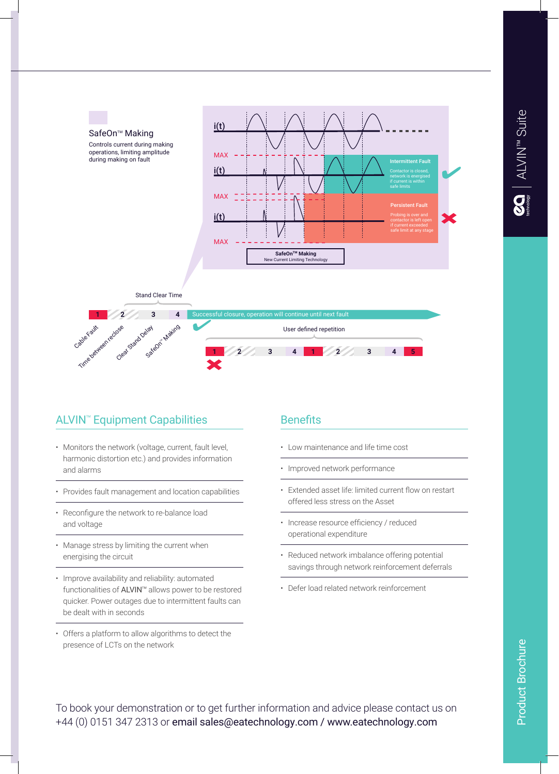

## **ALVIN<sup>™</sup> Equipment Capabilities**

- Monitors the network (voltage, current, fault level, harmonic distortion etc.) and provides information and alarms
- Provides fault management and location capabilities
- Reconfigure the network to re-balance load and voltage
- Manage stress by limiting the current when energising the circuit
- Improve availability and reliability: automated functionalities of ALVIN™ allows power to be restored quicker. Power outages due to intermittent faults can be dealt with in seconds
- Offers a platform to allow algorithms to detect the presence of LCTs on the network

### **Benefits**

- Low maintenance and life time cost
- Improved network performance
- Extended asset life: limited current flow on restart offered less stress on the Asset
- Increase resource efficiency / reduced operational expenditure
- Reduced network imbalance offering potential savings through network reinforcement deferrals
- Defer load related network reinforcement

**Product Brochure** Product Brochure

To book your demonstration or to get further information and advice please contact us on +44 (0) 0151 347 2313 or email sales@eatechnology.com / www.eatechnology.com